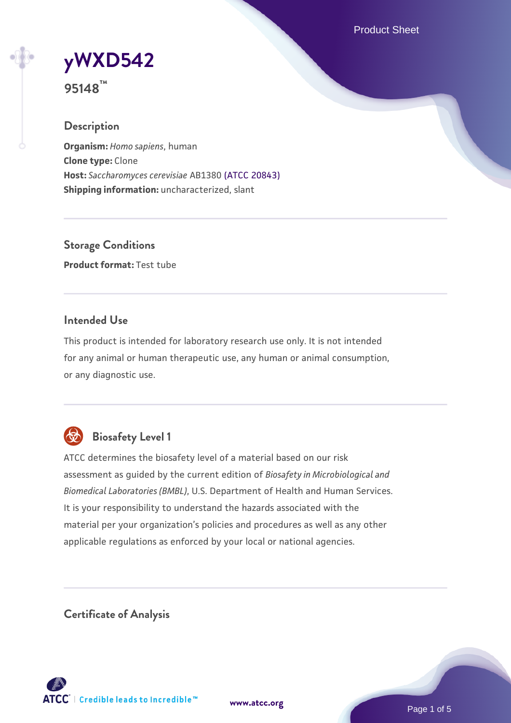Product Sheet

**[yWXD542](https://www.atcc.org/products/95148)**

**95148™**

### **Description**

**Organism:** *Homo sapiens*, human **Clone type:** Clone **Host:** *Saccharomyces cerevisiae* AB1380 [\(ATCC 20843\)](https://www.atcc.org/products/20843) **Shipping information:** uncharacterized, slant

**Storage Conditions Product format:** Test tube

### **Intended Use**

This product is intended for laboratory research use only. It is not intended for any animal or human therapeutic use, any human or animal consumption, or any diagnostic use.



# **Biosafety Level 1**

ATCC determines the biosafety level of a material based on our risk assessment as guided by the current edition of *Biosafety in Microbiological and Biomedical Laboratories (BMBL)*, U.S. Department of Health and Human Services. It is your responsibility to understand the hazards associated with the material per your organization's policies and procedures as well as any other applicable regulations as enforced by your local or national agencies.

**Certificate of Analysis**

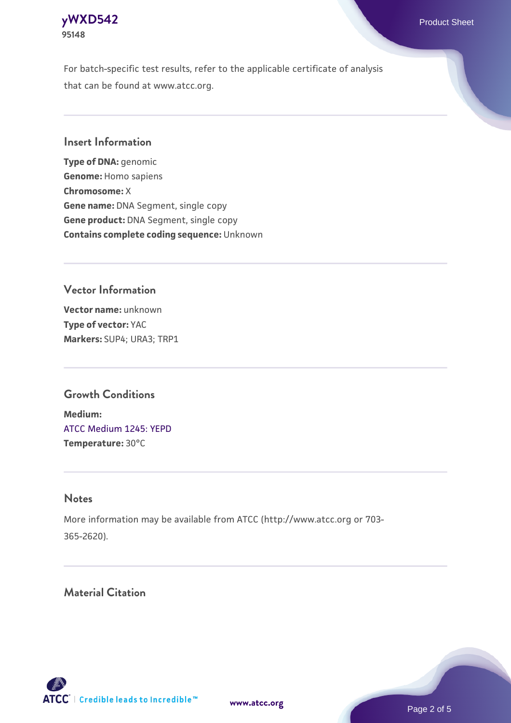

For batch-specific test results, refer to the applicable certificate of analysis that can be found at www.atcc.org.

### **Insert Information**

**Type of DNA:** genomic **Genome:** Homo sapiens **Chromosome:** X **Gene name:** DNA Segment, single copy **Gene product:** DNA Segment, single copy **Contains complete coding sequence:** Unknown

### **Vector Information**

**Vector name:** unknown **Type of vector:** YAC **Markers:** SUP4; URA3; TRP1

#### **Growth Conditions**

**Medium:**  [ATCC Medium 1245: YEPD](https://www.atcc.org/-/media/product-assets/documents/microbial-media-formulations/1/2/4/5/atcc-medium-1245.pdf?rev=705ca55d1b6f490a808a965d5c072196) **Temperature:** 30°C

#### **Notes**

More information may be available from ATCC (http://www.atcc.org or 703- 365-2620).

## **Material Citation**

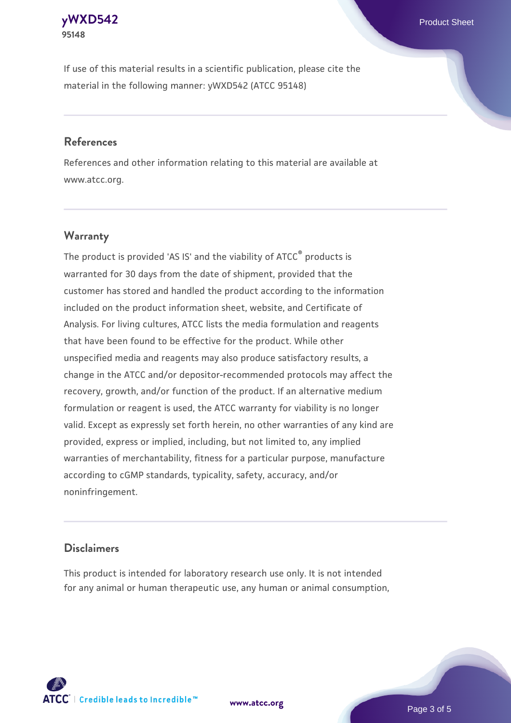#### **[yWXD542](https://www.atcc.org/products/95148)** Product Sheet **95148**

If use of this material results in a scientific publication, please cite the material in the following manner: yWXD542 (ATCC 95148)

#### **References**

References and other information relating to this material are available at www.atcc.org.

### **Warranty**

The product is provided 'AS IS' and the viability of  $ATCC<sup>®</sup>$  products is warranted for 30 days from the date of shipment, provided that the customer has stored and handled the product according to the information included on the product information sheet, website, and Certificate of Analysis. For living cultures, ATCC lists the media formulation and reagents that have been found to be effective for the product. While other unspecified media and reagents may also produce satisfactory results, a change in the ATCC and/or depositor-recommended protocols may affect the recovery, growth, and/or function of the product. If an alternative medium formulation or reagent is used, the ATCC warranty for viability is no longer valid. Except as expressly set forth herein, no other warranties of any kind are provided, express or implied, including, but not limited to, any implied warranties of merchantability, fitness for a particular purpose, manufacture according to cGMP standards, typicality, safety, accuracy, and/or noninfringement.

#### **Disclaimers**

This product is intended for laboratory research use only. It is not intended for any animal or human therapeutic use, any human or animal consumption,

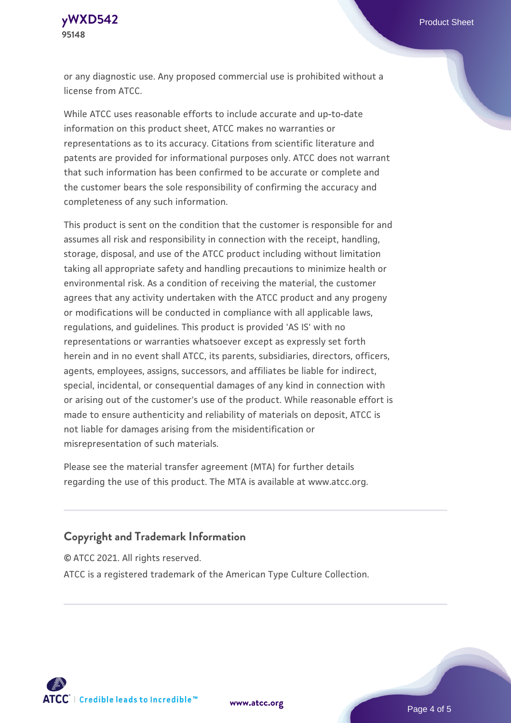

or any diagnostic use. Any proposed commercial use is prohibited without a license from ATCC.

While ATCC uses reasonable efforts to include accurate and up-to-date information on this product sheet, ATCC makes no warranties or representations as to its accuracy. Citations from scientific literature and patents are provided for informational purposes only. ATCC does not warrant that such information has been confirmed to be accurate or complete and the customer bears the sole responsibility of confirming the accuracy and completeness of any such information.

This product is sent on the condition that the customer is responsible for and assumes all risk and responsibility in connection with the receipt, handling, storage, disposal, and use of the ATCC product including without limitation taking all appropriate safety and handling precautions to minimize health or environmental risk. As a condition of receiving the material, the customer agrees that any activity undertaken with the ATCC product and any progeny or modifications will be conducted in compliance with all applicable laws, regulations, and guidelines. This product is provided 'AS IS' with no representations or warranties whatsoever except as expressly set forth herein and in no event shall ATCC, its parents, subsidiaries, directors, officers, agents, employees, assigns, successors, and affiliates be liable for indirect, special, incidental, or consequential damages of any kind in connection with or arising out of the customer's use of the product. While reasonable effort is made to ensure authenticity and reliability of materials on deposit, ATCC is not liable for damages arising from the misidentification or misrepresentation of such materials.

Please see the material transfer agreement (MTA) for further details regarding the use of this product. The MTA is available at www.atcc.org.

#### **Copyright and Trademark Information**

© ATCC 2021. All rights reserved.

ATCC is a registered trademark of the American Type Culture Collection.



**[www.atcc.org](http://www.atcc.org)**